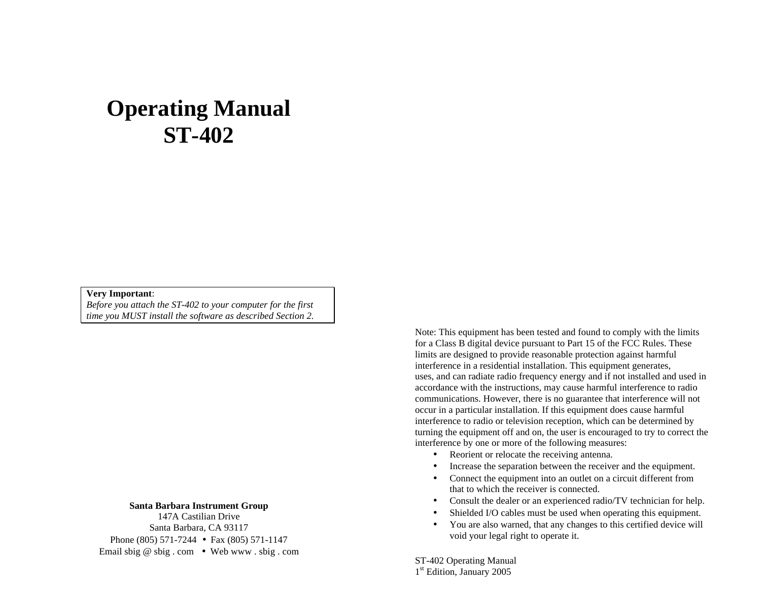# **Operating Manual ST-402**

#### **Very Important**:

*Before you attach the ST-402 to your computer for the first time you MUST install the software as described Section 2.*

**Santa Barbara Instrument Group**

147A Castilian Drive Santa Barbara, CA 93117 Phone (805) 571-7244 • Fax (805) 571-1147 Email sbig @ sbig . com • Web www . sbig . com Note: This equipment has been tested and found to comply with the limits for a Class B digital device pursuant to Part 15 of the FCC Rules. These limits are designed to provide reasonable protection against harmful interference in a residential installation. This equipment generates, uses, and can radiate radio frequency energy and if not installed and used in accordance with the instructions, may cause harmful interference to radio communications. However, there is no guarantee that interference will not occur in a particular installation. If this equipment does cause harmful interference to radio or television reception, which can be determined by turning the equipment off and on, the user is encouraged to try to correct the interference by one or more of the following measures:

- Reorient or relocate the receiving antenna.
- Increase the separation between the receiver and the equipment.
- Connect the equipment into an outlet on a circuit different from that to which the receiver is connected.
- Consult the dealer or an experienced radio/TV technician for help.
- Shielded I/O cables must be used when operating this equipment.
- You are also warned, that any changes to this certified device will void your legal right to operate it.

ST-402 Operating Manual 1<sup>st</sup> Edition, January 2005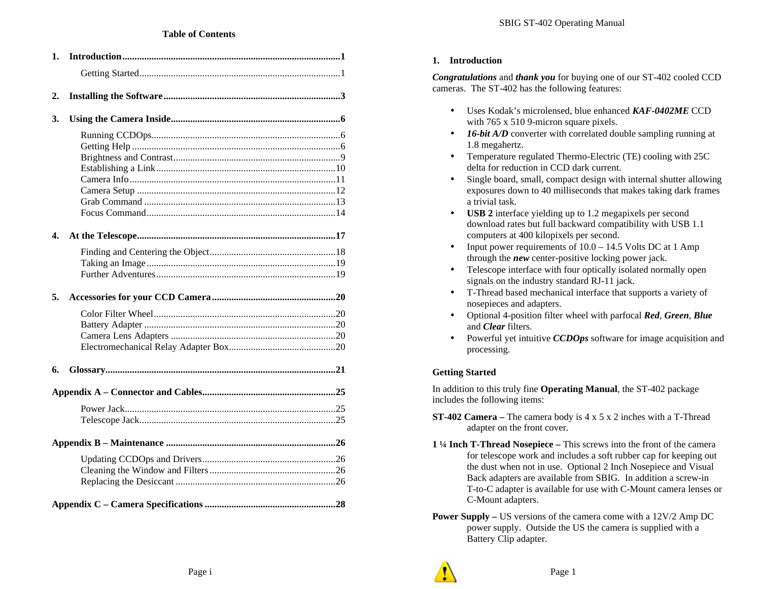| 1. |  |
|----|--|
|    |  |
| 2. |  |
| 3. |  |
|    |  |
|    |  |
|    |  |
|    |  |
|    |  |
|    |  |
|    |  |
| 4. |  |
|    |  |
|    |  |
|    |  |
|    |  |
| 5. |  |
|    |  |
|    |  |
|    |  |
|    |  |
| 6. |  |
|    |  |
|    |  |
|    |  |
|    |  |
|    |  |
|    |  |
|    |  |
|    |  |

## **1. Introduction**

*Congratulations* and *thank you* for buying one of our ST-402 cooled CCD cameras. The ST-402 has the following features:

- Uses Kodak's microlensed, blue enhanced *KAF-0402ME* CCD with 765 x 510 9-micron square pixels.
- **16-bit A/D** converter with correlated double sampling running at 1.8 megahertz.
- Temperature regulated Thermo-Electric (TE) cooling with 25C delta for reduction in CCD dark current.
- Single board, small, compact design with internal shutter allowing exposures down to 40 milliseconds that makes taking dark frames a trivial task.
- **USB 2** interface yielding up to 1.2 megapixels per second download rates but full backward compatibility with USB 1.1 computers at 400 kilopixels per second.
- Input power requirements of  $10.0 14.5$  Volts DC at 1 Amp through the *new* center-positive locking power jack.
- Telescope interface with four optically isolated normally open signals on the industry standard RJ-11 jack.
- T-Thread based mechanical interface that supports a variety of nosepieces and adapters.
- Optional 4-position filter wheel with parfocal *Red*, *Green*, *Blue* and *Clear* filters.
- Powerful yet intuitive *CCDOps* software for image acquisition and processing.

## **Getting Started**

In addition to this truly fine **Operating Manual**, the ST-402 package includes the following items:

- **ST-402 Camera –** The camera body is 4 x 5 x 2 inches with a T-Thread adapter on the front cover.
- **1 ¼ Inch T-Thread Nosepiece –** This screws into the front of the camera for telescope work and includes a soft rubber cap for keeping out the dust when not in use. Optional 2 Inch Nosepiece and Visual Back adapters are available from SBIG. In addition a screw-in T-to-C adapter is available for use with C-Mount camera lenses or C-Mount adapters.
- **Power Supply –** US versions of the camera come with a 12V/2 Amp DC power supply. Outside the US the camera is supplied with a Battery Clip adapter.

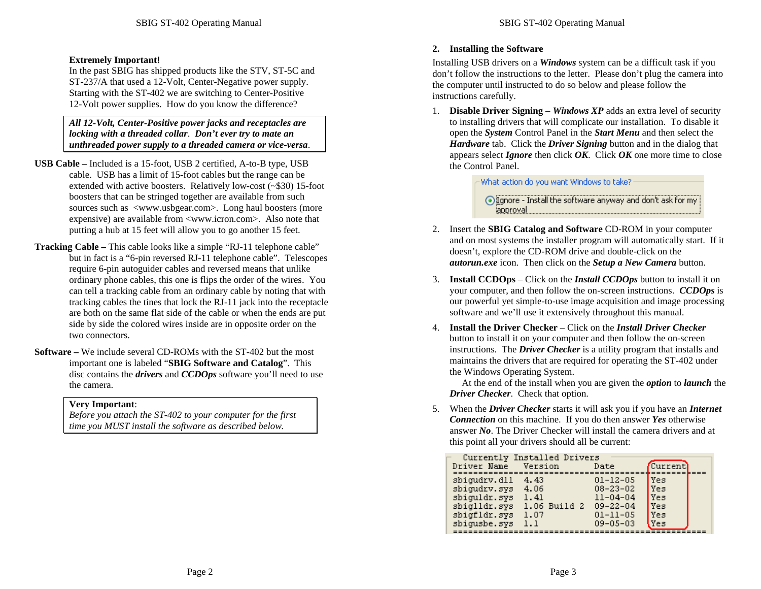#### **Extremely Important!**

In the past SBIG has shipped products like the STV, ST-5C and ST-237/A that used a 12-Volt, Center-Negative power supply. Starting with the ST-402 we are switching to Center-Positive 12-Volt power supplies. How do you know the difference?

*All 12-Volt, Center-Positive power jacks and receptacles are locking with a threaded collar*. *Don't ever try to mate an unthreaded power supply to a threaded camera or vice-versa*.

- **USB Cable –** Included is a 15-foot, USB 2 certified, A-to-B type, USB cable. USB has a limit of 15-foot cables but the range can be extended with active boosters. Relatively low-cost (~\$30) 15-foot boosters that can be stringed together are available from such sources such as <www.usbgear.com>. Long haul boosters (more expensive) are available from <www.icron.com>. Also note that putting a hub at 15 feet will allow you to go another 15 feet.
- **Tracking Cable –** This cable looks like a simple "RJ-11 telephone cable" but in fact is a "6-pin reversed RJ-11 telephone cable". Telescopes require 6-pin autoguider cables and reversed means that unlike ordinary phone cables, this one is flips the order of the wires. You can tell a tracking cable from an ordinary cable by noting that with tracking cables the tines that lock the RJ-11 jack into the receptacle are both on the same flat side of the cable or when the ends are put side by side the colored wires inside are in opposite order on the two connectors.
- **Software –** We include several CD-ROMs with the ST-402 but the most important one is labeled "**SBIG Software and Catalog**". This disc contains the *drivers* and *CCDOps* software you'll need to use the camera.

#### **Very Important**:

*Before you attach the ST-402 to your computer for the first time you MUST install the software as described below.*

#### **2. Installing the Software**

Installing USB drivers on a *Windows* system can be a difficult task if you don't follow the instructions to the letter. Please don't plug the camera into the computer until instructed to do so below and please follow the instructions carefully.

1. **Disable Driver Signing** – *Windows XP* adds an extra level of security to installing drivers that will complicate our installation. To disable it open the *System* Control Panel in the *Start Menu* and then select the *Hardware* tab. Click the *Driver Signing* button and in the dialog that appears select *Ignore* then click *OK*. Click *OK* one more time to close the Control Panel.

What action do you want Windows to take?

⊙ Ignore - Install the software anyway and don't ask for my approval.

- 2. Insert the **SBIG Catalog and Software** CD-ROM in your computer and on most systems the installer program will automatically start. If it doesn't, explore the CD-ROM drive and double-click on the *autorun.exe* icon. Then click on the *Setup a New Camera* button.
- 3. **Install CCDOps** Click on the *Install CCDOps* button to install it on your computer, and then follow the on-screen instructions. *CCDOps* is our powerful yet simple-to-use image acquisition and image processing software and we'll use it extensively throughout this manual.
- 4. **Install the Driver Checker** Click on the *Install Driver Checker* button to install it on your computer and then follow the on-screen instructions. The *Driver Checker* is a utility program that installs and maintains the drivers that are required for operating the ST-402 under the Windows Operating System.

 At the end of the install when you are given the *option* to *launch* the *Driver Checker*. Check that option.

5. When the *Driver Checker* starts it will ask you if you have an *Internet Connection* on this machine. If you do then answer *Yes* otherwise answer *No*. The Driver Checker will install the camera drivers and at this point all your drivers should all be current:

|              | Currently Installed Drivers |                |            |
|--------------|-----------------------------|----------------|------------|
|              |                             |                |            |
| Driver Name  | Version                     | Date           | Current    |
|              |                             |                |            |
| sbigudry.dll | 4.43                        | $01 - 12 - 05$ | <b>Yes</b> |
| sbigudrv.sys | 4.06                        | $08 - 23 - 02$ | l Ves      |
| sbiguldr.sys | 1.41                        | $11 - 04 - 04$ | l Ves      |
|              |                             |                |            |
| sbiglldr.sys | 1.06 Build 2                | $09 - 22 - 04$ | <b>Yes</b> |
| sbigfldr.sys | 1.07                        | $01 - 11 - 05$ | Yes        |
| sbigusbe.sys | 1.1                         | $09 - 05 - 03$ | Ves        |
|              |                             |                |            |
|              |                             |                |            |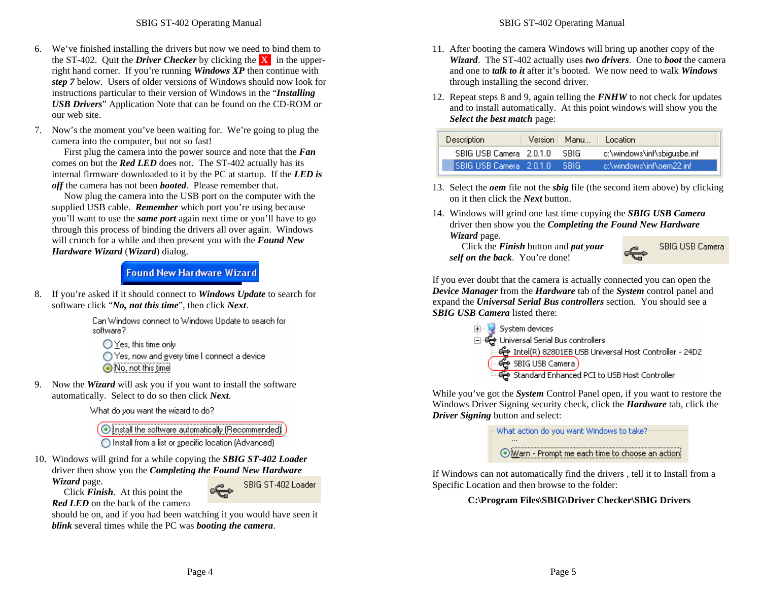- 6. We've finished installing the drivers but now we need to bind them to the ST-402. Quit the *Driver Checker* by clicking the **X** in the upperright hand corner. If you're running *Windows XP* then continue with *step 7* below. Users of older versions of Windows should now look for instructions particular to their version of Windows in the "*Installing USB Drivers*" Application Note that can be found on the CD-ROM or our web site.
- 7. Now's the moment you've been waiting for. We're going to plug the camera into the computer, but not so fast!

 First plug the camera into the power source and note that the *Fan* comes on but the *Red LED* does not. The ST-402 actually has its internal firmware downloaded to it by the PC at startup. If the *LED is off* the camera has not been *booted*. Please remember that.

 Now plug the camera into the USB port on the computer with the supplied USB cable. *Remember* which port you're using because you'll want to use the *same port* again next time or you'll have to go through this process of binding the drivers all over again. Windows will crunch for a while and then present you with the *Found New Hardware Wizard* (*Wizard*) dialog.

## **Found New Hardware Wizard**

8. If you're asked if it should connect to *Windows Update* to search for software click "*No, not this time*", then click *Next*.

> Can Windows connect to Windows Update to search for software?

 $\bigcirc$  Yes, this time only ◯ Yes, now and gvery time I connect a device No, not this time

9. Now the *Wizard* will ask you if you want to install the software automatically. Select to do so then click *Next*.

What do you want the wizard to do?

O Install the software automatically (Recommended)

O Install from a list or specific location (Advanced)

10. Windows will grind for a while copying the *SBIG ST-402 Loader* driver then show you the *Completing the Found New Hardware Wizard* page.

Click *Finish*. At this point the

SBIG ST-402 Loader

*Red LED* on the back of the camera

should be on, and if you had been watching it you would have seen it *blink* several times while the PC was *booting the camera*.

- 11. After booting the camera Windows will bring up another copy of the *Wizard*. The ST-402 actually uses *two drivers*. One to *boot* the camera and one to *talk to it* after it's booted. We now need to walk *Windows* through installing the second driver.
- 12. Repeat steps 8 and 9, again telling the *FNHW* to not check for updates and to install automatically. At this point windows will show you the *Select the best match* page:

| <b>Description</b>         | Version Manu | Location                    |
|----------------------------|--------------|-----------------------------|
| SBIG USB Camera 2.0.1.0    | SRIG         | c:\windows\inf\sbigusbe.inf |
| ISBIG USB Camera - 2.0.1.0 | ISBIG.       | ic:\windows\inf\oem22.inf   |

- 13. Select the *oem* file not the *sbig* file (the second item above) by clicking on it then click the *Next* button.
- 14. Windows will grind one last time copying the *SBIG USB Camera* driver then show you the *Completing the Found New Hardware Wizard* page.

 Click the *Finish* button and *pat your self on the back*. You're done!



If you ever doubt that the camera is actually connected you can open the *Device Manager* from the *Hardware* tab of the *System* control panel and expand the *Universal Serial Bus controllers* section. You should see a *SBIG USB Camera* listed there:



While you've got the *System* Control Panel open, if you want to restore the Windows Driver Signing security check, click the *Hardware* tab, click the *Driver Signing* button and select:

What action do you want Windows to take? Warn - Prompt me each time to choose an action!

If Windows can not automatically find the drivers , tell it to Install from a Specific Location and then browse to the folder:

## **C:\Program Files\SBIG\Driver Checker\SBIG Drivers**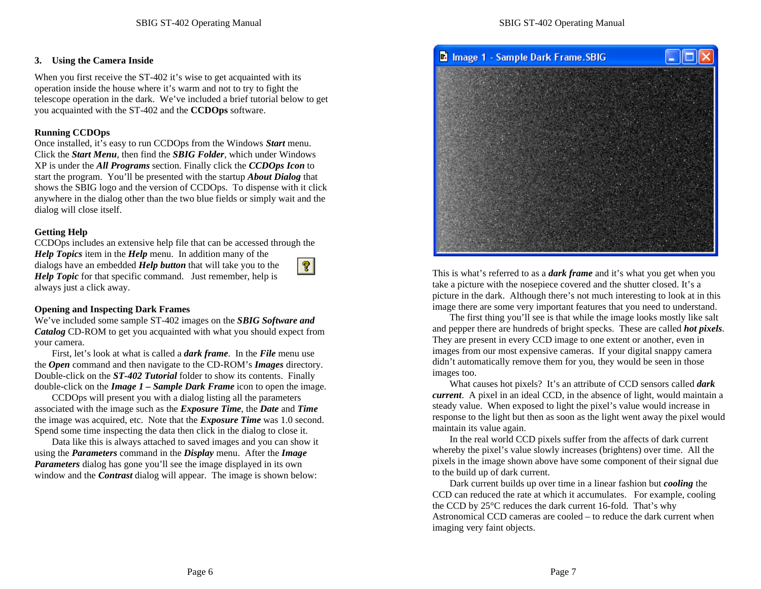#### **3. Using the Camera Inside**

When you first receive the ST-402 it's wise to get acquainted with its operation inside the house where it's warm and not to try to fight the telescope operation in the dark. We've included a brief tutorial below to get you acquainted with the ST-402 and the **CCDOps** software.

### **Running CCDOps**

Once installed, it's easy to run CCDOps from the Windows *Start* menu. Click the *Start Menu*, then find the *SBIG Folder*, which under Windows XP is under the *All Programs* section. Finally click the *CCDOps Icon* to start the program. You'll be presented with the startup *About Dialog* that shows the SBIG logo and the version of CCDOps. To dispense with it click anywhere in the dialog other than the two blue fields or simply wait and the dialog will close itself.

## **Getting Help**

CCDOps includes an extensive help file that can be accessed through the

*Help Topics* item in the *Help* menu. In addition many of the dialogs have an embedded *Help button* that will take you to the *Help Topic* for that specific command. Just remember, help is always just a click away.



#### **Opening and Inspecting Dark Frames**

We've included some sample ST-402 images on the *SBIG Software and Catalog* CD-ROM to get you acquainted with what you should expect from your camera.

First, let's look at what is called a *dark frame*. In the *File* menu use the *Open* command and then navigate to the CD-ROM's *Images* directory. Double-click on the *ST-402 Tutorial* folder to show its contents. Finally double-click on the *Image 1 – Sample Dark Frame* icon to open the image.

CCDOps will present you with a dialog listing all the parameters associated with the image such as the *Exposure Time*, the *Date* and *Time* the image was acquired, etc. Note that the *Exposure Time* was 1.0 second. Spend some time inspecting the data then click in the dialog to close it.

Data like this is always attached to saved images and you can show it using the *Parameters* command in the *Display* menu. After the *Image Parameters* dialog has gone you'll see the image displayed in its own window and the *Contrast* dialog will appear. The image is shown below:



This is what's referred to as a *dark frame* and it's what you get when you take a picture with the nosepiece covered and the shutter closed. It's a picture in the dark. Although there's not much interesting to look at in this image there are some very important features that you need to understand.

The first thing you'll see is that while the image looks mostly like salt and pepper there are hundreds of bright specks. These are called *hot pixels*. They are present in every CCD image to one extent or another, even in images from our most expensive cameras. If your digital snappy camera didn't automatically remove them for you, they would be seen in those images too.

What causes hot pixels? It's an attribute of CCD sensors called *dark current*. A pixel in an ideal CCD, in the absence of light, would maintain a steady value. When exposed to light the pixel's value would increase in response to the light but then as soon as the light went away the pixel would maintain its value again.

In the real world CCD pixels suffer from the affects of dark current whereby the pixel's value slowly increases (brightens) over time. All the pixels in the image shown above have some component of their signal due to the build up of dark current.

Dark current builds up over time in a linear fashion but *cooling* the CCD can reduced the rate at which it accumulates. For example, cooling the CCD by 25°C reduces the dark current 16-fold. That's why Astronomical CCD cameras are cooled – to reduce the dark current when imaging very faint objects.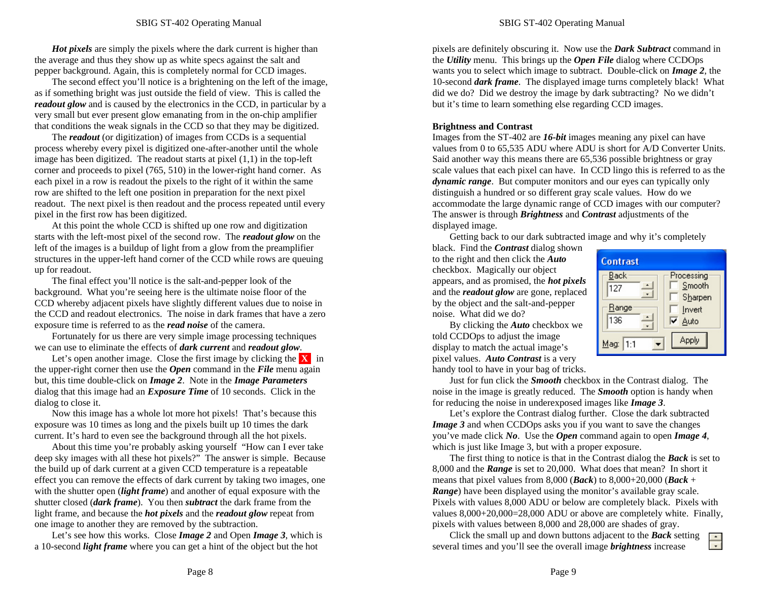*Hot pixels* are simply the pixels where the dark current is higher than the average and thus they show up as white specs against the salt and pepper background. Again, this is completely normal for CCD images.

The second effect you'll notice is a brightening on the left of the image, as if something bright was just outside the field of view. This is called the *readout glow* and is caused by the electronics in the CCD, in particular by a very small but ever present glow emanating from in the on-chip amplifier that conditions the weak signals in the CCD so that they may be digitized.

The *readout* (or digitization) of images from CCDs is a sequential process whereby every pixel is digitized one-after-another until the whole image has been digitized. The readout starts at pixel  $(1,1)$  in the top-left corner and proceeds to pixel (765, 510) in the lower-right hand corner. As each pixel in a row is readout the pixels to the right of it within the same row are shifted to the left one position in preparation for the next pixel readout. The next pixel is then readout and the process repeated until every pixel in the first row has been digitized.

At this point the whole CCD is shifted up one row and digitization starts with the left-most pixel of the second row. The *readout glow* on the left of the images is a buildup of light from a glow from the preamplifier structures in the upper-left hand corner of the CCD while rows are queuing up for readout.

The final effect you'll notice is the salt-and-pepper look of the background. What you're seeing here is the ultimate noise floor of the CCD whereby adjacent pixels have slightly different values due to noise in the CCD and readout electronics. The noise in dark frames that have a zero exposure time is referred to as the *read noise* of the camera.

Fortunately for us there are very simple image processing techniques we can use to eliminate the effects of *dark current* and *readout glow*.

Let's open another image. Close the first image by clicking the **X** in the upper-right corner then use the *Open* command in the *File* menu again but, this time double-click on *Image 2*. Note in the *Image Parameters* dialog that this image had an *Exposure Time* of 10 seconds. Click in the dialog to close it.

Now this image has a whole lot more hot pixels! That's because this exposure was 10 times as long and the pixels built up 10 times the dark current. It's hard to even see the background through all the hot pixels.

About this time you're probably asking yourself "How can I ever take deep sky images with all these hot pixels?" The answer is simple. Because the build up of dark current at a given CCD temperature is a repeatable effect you can remove the effects of dark current by taking two images, one with the shutter open *(light frame)* and another of equal exposure with the shutter closed (*dark frame*). You then *subtract* the dark frame from the light frame, and because the *hot pixels* and the *readout glow* repeat from one image to another they are removed by the subtraction.

Let's see how this works. Close *Image 2* and Open *Image 3*, which is a 10-second *light frame* where you can get a hint of the object but the hot

pixels are definitely obscuring it. Now use the *Dark Subtract* command in the *Utility* menu. This brings up the *Open File* dialog where CCDOps wants you to select which image to subtract. Double-click on *Image 2*, the 10-second *dark frame*. The displayed image turns completely black! What did we do? Did we destroy the image by dark subtracting? No we didn't but it's time to learn something else regarding CCD images.

#### **Brightness and Contrast**

Images from the ST-402 are *16-bit* images meaning any pixel can have values from 0 to 65,535 ADU where ADU is short for A/D Converter Units. Said another way this means there are 65,536 possible brightness or gray scale values that each pixel can have. In CCD lingo this is referred to as the *dynamic range*. But computer monitors and our eyes can typically only distinguish a hundred or so different gray scale values. How do we accommodate the large dynamic range of CCD images with our computer? The answer is through *Brightness* and *Contrast* adjustments of the displayed image.

Getting back to our dark subtracted image and why it's completely

black. Find the *Contrast* dialog shown to the right and then click the *Auto* checkbox. Magically our object appears, and as promised, the *hot pixels* and the *readout glow* are gone, replaced by the object and the salt-and-pepper noise. What did we do?

By clicking the *Auto* checkbox we

**Contrast** Processing Back Smooth 127  $\overline{\phantom{a}}$ Sharpen Range  $\Box$  Invert  $\overline{\triangleright}$  Auto 136 **Apply** Mag: 1:1  $\overline{\phantom{0}}$ 

told CCDOps to adjust the image display to match the actual image's pixel values. *Auto Contrast* is a very handy tool to have in your bag of tricks.

Just for fun click the *Smooth* checkbox in the Contrast dialog. The noise in the image is greatly reduced. The *Smooth* option is handy when for reducing the noise in underexposed images like *Image 3*.

Let's explore the Contrast dialog further. Close the dark subtracted *Image 3* and when CCDOps asks you if you want to save the changes you've made click *No*. Use the *Open* command again to open *Image 4*, which is just like Image 3, but with a proper exposure.

The first thing to notice is that in the Contrast dialog the *Back* is set to 8,000 and the *Range* is set to 20,000. What does that mean? In short it means that pixel values from 8,000 (*Back*) to 8,000+20,000 (*Back* + *Range*) have been displayed using the monitor's available gray scale. Pixels with values 8,000 ADU or below are completely black. Pixels with values 8,000+20,000=28,000 ADU or above are completely white. Finally, pixels with values between 8,000 and 28,000 are shades of gray.

Click the small up and down buttons adjacent to the *Back* setting  $\blacktriangle$ ╦ several times and you'll see the overall image *brightness* increase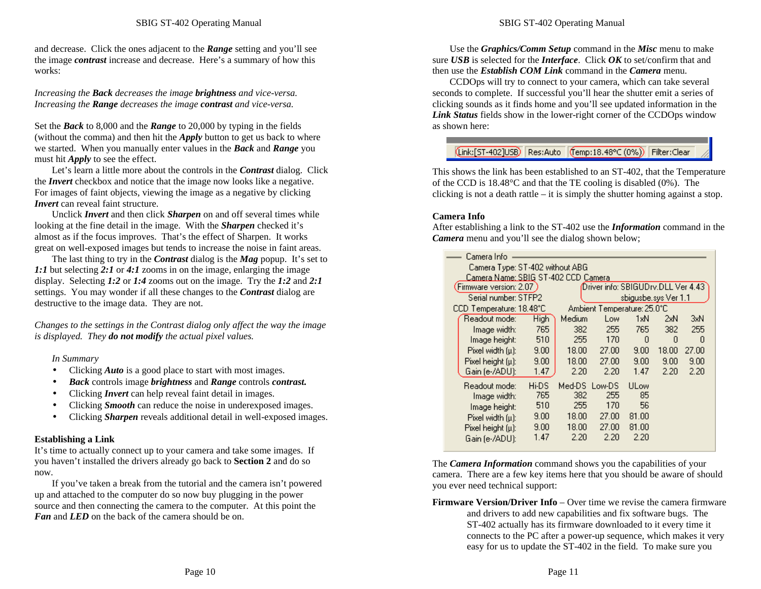and decrease. Click the ones adjacent to the *Range* setting and you'll see the image *contrast* increase and decrease. Here's a summary of how this works:

*Increasing the Back decreases the image brightness and vice-versa. Increasing the Range decreases the image contrast and vice-versa.*

Set the *Back* to 8,000 and the *Range* to 20,000 by typing in the fields (without the comma) and then hit the *Apply* button to get us back to where we started. When you manually enter values in the *Back* and *Range* you must hit *Apply* to see the effect.

Let's learn a little more about the controls in the *Contrast* dialog. Click the *Invert* checkbox and notice that the image now looks like a negative. For images of faint objects, viewing the image as a negative by clicking *<i>Invert* can reveal faint structure.

Unclick *Invert* and then click *Sharpen* on and off several times while looking at the fine detail in the image. With the *Sharpen* checked it's almost as if the focus improves. That's the effect of Sharpen. It works great on well-exposed images but tends to increase the noise in faint areas.

The last thing to try in the *Contrast* dialog is the *Mag* popup. It's set to *1:1* but selecting *2:1* or *4:1* zooms in on the image, enlarging the image display. Selecting *1:2* or *1:4* zooms out on the image. Try the *1:2* and *2:1* settings. You may wonder if all these changes to the *Contrast* dialog are destructive to the image data. They are not.

*Changes to the settings in the Contrast dialog only affect the way the image is displayed. They do not modify the actual pixel values.*

*In Summary*

- Clicking *Auto* is a good place to start with most images.
- *Back* controls image *brightness* and *Range* controls *contrast.*
- Clicking *Invert* can help reveal faint detail in images.
- Clicking *Smooth* can reduce the noise in underexposed images.
- Clicking *Sharpen* reveals additional detail in well-exposed images.

#### **Establishing a Link**

It's time to actually connect up to your camera and take some images. If you haven't installed the drivers already go back to **Section 2** and do so now.

If you've taken a break from the tutorial and the camera isn't powered up and attached to the computer do so now buy plugging in the power source and then connecting the camera to the computer. At this point the *Fan* and *LED* on the back of the camera should be on.

Use the *Graphics/Comm Setup* command in the *Misc* menu to make sure *USB* is selected for the *Interface*. Click *OK* to set/confirm that and then use the *Establish COM Link* command in the *Camera* menu.

CCDOps will try to connect to your camera, which can take several seconds to complete. If successful you'll hear the shutter emit a series of clicking sounds as it finds home and you'll see updated information in the *Link Status* fields show in the lower-right corner of the CCDOps window as shown here:

## (Link:[ST-402]USB) Res:Auto (Temp:18.48°C (0%)) Filter:Clear

This shows the link has been established to an ST-402, that the Temperature of the CCD is 18.48°C and that the TE cooling is disabled (0%). The clicking is not a death rattle – it is simply the shutter homing against a stop.

### **Camera Info**

After establishing a link to the ST-402 use the *Information* command in the *Camera* menu and you'll see the dialog shown below;

| Camera Info |                                     |       |               |                                    |                      |       |       |
|-------------|-------------------------------------|-------|---------------|------------------------------------|----------------------|-------|-------|
|             | Camera Type: ST-402 without ABG     |       |               |                                    |                      |       |       |
|             | Camera Name: SBIG ST-402 CCD Camera |       |               |                                    |                      |       |       |
|             | Firmware version: 2.07 )            |       |               | Driver info: SBIGUDrv.DLL Ver 4.43 |                      |       |       |
|             | Serial number: STFP2                |       |               |                                    | sbigusbe.sys Ver 1.1 |       |       |
|             | CCD Temperature: 18.48°C            |       |               | Ambient Temperature: 25.0°C.       |                      |       |       |
|             | Readout mode:                       | High  | Medium        | Low                                | 1xN                  | 2xN   | 3xN   |
|             | Image width:                        | 765   | 382           | 255                                | 765                  | 382   | 255   |
|             | Image height:                       | 510   | 255           | 170                                | n                    | O     | n     |
|             | Pixel width (u):                    | 9.00  | 18.00         | 27.00                              | 9.00                 | 18.00 | 27.00 |
|             | Pixel height $[\mu]$ :              | 9.00  | 18.00         | 27.00                              | 9.00                 | 9.00  | 9.00  |
|             | Gain (e-/ADU):                      | 1.47  | 2.20          | 2.20                               | 1.47                 | 2.20  | 2.20  |
|             | Readout mode:                       | Hi-DS | Med-DS Low-DS |                                    | <b>ULow</b>          |       |       |
|             | Image width:                        | 765   | 382           | 255                                | 85                   |       |       |
|             | Image height:                       | 510   | 255           | 170                                | 56                   |       |       |
|             | Pixel width (u):                    | 9.00  | 18.00         | 27.00                              | 81.00                |       |       |
|             | Pixel height $[\mu]$ :              | 9.00  | 18.00         | 27.00                              | 81.00                |       |       |
|             | Gain (e-/ADU):                      | 1.47  | 2.20          | 2.20                               | 2.20                 |       |       |

The *Camera Information* command shows you the capabilities of your camera. There are a few key items here that you should be aware of should you ever need technical support:

**Firmware Version/Driver Info** – Over time we revise the camera firmware and drivers to add new capabilities and fix software bugs. The ST-402 actually has its firmware downloaded to it every time it connects to the PC after a power-up sequence, which makes it very easy for us to update the ST-402 in the field. To make sure you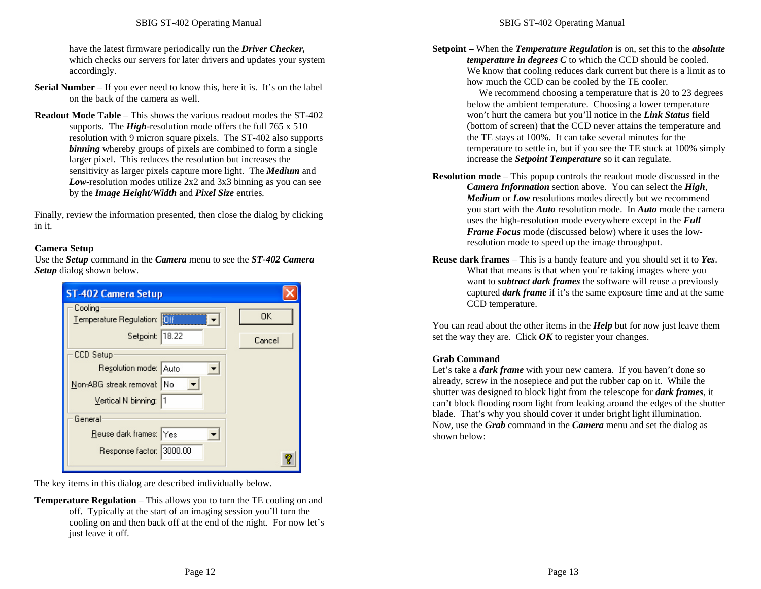have the latest firmware periodically run the *Driver Checker,* which checks our servers for later drivers and updates your system accordingly.

- **Serial Number** If you ever need to know this, here it is. It's on the label on the back of the camera as well.
- **Readout Mode Table** This shows the various readout modes the ST-402 supports. The *High*-resolution mode offers the full 765 x 510 resolution with 9 micron square pixels. The ST-402 also supports **binning** whereby groups of pixels are combined to form a single larger pixel. This reduces the resolution but increases the sensitivity as larger pixels capture more light. The *Medium* and *Low*-resolution modes utilize 2x2 and 3x3 binning as you can see by the *Image Height/Width* and *Pixel Size* entries*.*

Finally, review the information presented, then close the dialog by clicking in it.

#### **Camera Setup**

Use the *Setup* command in the *Camera* menu to see the *ST-402 Camera Setup* dialog shown below.

| <b>ST-402 Camera Setup</b>             |        |
|----------------------------------------|--------|
| Cooling<br>Temperature Regulation: 0ff | 0K     |
|                                        |        |
| Setpoint: 18.22                        | Cancel |
| CCD Setup                              |        |
| Resolution mode: Auto                  |        |
| Non-ABG streak removal: No             |        |
| Vertical N binning: 1                  |        |
| General                                |        |
| Reuse dark frames: Yes                 |        |
| Response factor: 3000.00               |        |
|                                        |        |

The key items in this dialog are described individually below.

**Temperature Regulation** – This allows you to turn the TE cooling on and off. Typically at the start of an imaging session you'll turn the cooling on and then back off at the end of the night. For now let's just leave it off.

**Setpoint –** When the *Temperature Regulation* is on, set this to the *absolute temperature in degrees C* to which the CCD should be cooled. We know that cooling reduces dark current but there is a limit as to how much the CCD can be cooled by the TE cooler.

> We recommend choosing a temperature that is 20 to 23 degrees below the ambient temperature. Choosing a lower temperature won't hurt the camera but you'll notice in the *Link Status* field (bottom of screen) that the CCD never attains the temperature and the TE stays at 100%. It can take several minutes for the temperature to settle in, but if you see the TE stuck at 100% simply increase the *Setpoint Temperature* so it can regulate.

- **Resolution mode** This popup controls the readout mode discussed in the *Camera Information* section above. You can select the *High*, *Medium* or *Low* resolutions modes directly but we recommend you start with the *Auto* resolution mode. In *Auto* mode the camera uses the high-resolution mode everywhere except in the *Full Frame Focus* mode (discussed below) where it uses the lowresolution mode to speed up the image throughput.
- **Reuse dark frames** This is a handy feature and you should set it to *Yes*. What that means is that when you're taking images where you want to *subtract dark frames* the software will reuse a previously captured *dark frame* if it's the same exposure time and at the same CCD temperature.

You can read about the other items in the *Help* but for now just leave them set the way they are. Click *OK* to register your changes.

#### **Grab Command**

Let's take a *dark frame* with your new camera. If you haven't done so already, screw in the nosepiece and put the rubber cap on it. While the shutter was designed to block light from the telescope for *dark frames*, it can't block flooding room light from leaking around the edges of the shutter blade. That's why you should cover it under bright light illumination. Now, use the *Grab* command in the *Camera* menu and set the dialog as shown below: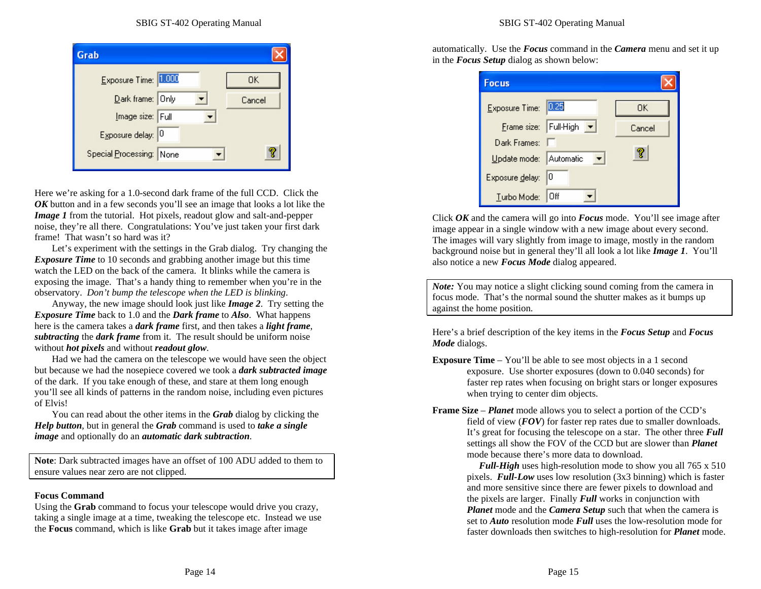| Grab                     |        |
|--------------------------|--------|
| Exposure Time: 1.000     | OΚ     |
| Dark frame: Only         | Cancel |
| Image size: Full         |        |
| Exposure delay: 0        |        |
| Special Processing: None |        |
|                          |        |

Here we're asking for a 1.0-second dark frame of the full CCD. Click the *OK* button and in a few seconds you'll see an image that looks a lot like the *Image 1* from the tutorial. Hot pixels, readout glow and salt-and-pepper noise, they're all there. Congratulations: You've just taken your first dark frame! That wasn't so hard was it?

Let's experiment with the settings in the Grab dialog. Try changing the *Exposure Time* to 10 seconds and grabbing another image but this time watch the LED on the back of the camera. It blinks while the camera is exposing the image. That's a handy thing to remember when you're in the observatory. *Don't bump the telescope when the LED is blinking*.

Anyway, the new image should look just like *Image 2*. Try setting the *Exposure Time* back to 1.0 and the *Dark frame* to *Also*. What happens here is the camera takes a *dark frame* first, and then takes a *light frame*, *subtracting* the *dark frame* from it. The result should be uniform noise without *hot pixels* and without *readout glow*.

Had we had the camera on the telescope we would have seen the object but because we had the nosepiece covered we took a *dark subtracted image* of the dark. If you take enough of these, and stare at them long enough you'll see all kinds of patterns in the random noise, including even pictures of Elvis!

You can read about the other items in the *Grab* dialog by clicking the *Help button*, but in general the *Grab* command is used to *take a single image* and optionally do an *automatic dark subtraction*.

**Note**: Dark subtracted images have an offset of 100 ADU added to them to ensure values near zero are not clipped.

#### **Focus Command**

Using the **Grab** command to focus your telescope would drive you crazy, taking a single image at a time, tweaking the telescope etc. Instead we use the **Focus** command, which is like **Grab** but it takes image after image

automatically. Use the *Focus* command in the *Camera* menu and set it up in the *Focus Setup* dialog as shown below:

| <b>Focus</b>           |                                             |        |
|------------------------|---------------------------------------------|--------|
| Exposure Time: 0.25    |                                             | 0K.    |
|                        | $Frame size: Full-High \blacktriangleright$ | Cancel |
| Dark Frames:           |                                             |        |
| Update mode: Automatic |                                             |        |
| Exposure delay: 0      |                                             |        |
| Turbo Mode:            | Off                                         |        |

Click *OK* and the camera will go into *Focus* mode. You'll see image after image appear in a single window with a new image about every second. The images will vary slightly from image to image, mostly in the random background noise but in general they'll all look a lot like *Image 1*. You'll also notice a new *Focus Mode* dialog appeared.

*Note:* You may notice a slight clicking sound coming from the camera in focus mode. That's the normal sound the shutter makes as it bumps up against the home position.

Here's a brief description of the key items in the *Focus Setup* and *Focus Mode* dialogs.

- **Exposure Time** You'll be able to see most objects in a 1 second exposure. Use shorter exposures (down to 0.040 seconds) for faster rep rates when focusing on bright stars or longer exposures when trying to center dim objects.
- **Frame Size** *Planet* mode allows you to select a portion of the CCD's field of view (*FOV*) for faster rep rates due to smaller downloads. It's great for focusing the telescope on a star. The other three *Full* settings all show the FOV of the CCD but are slower than *Planet* mode because there's more data to download.

 *Full-High* uses high-resolution mode to show you all 765 x 510 pixels. *Full-Low* uses low resolution (3x3 binning) which is faster and more sensitive since there are fewer pixels to download and the pixels are larger. Finally *Full* works in conjunction with *Planet* mode and the *Camera Setup* such that when the camera is set to *Auto* resolution mode *Full* uses the low-resolution mode for faster downloads then switches to high-resolution for *Planet* mode.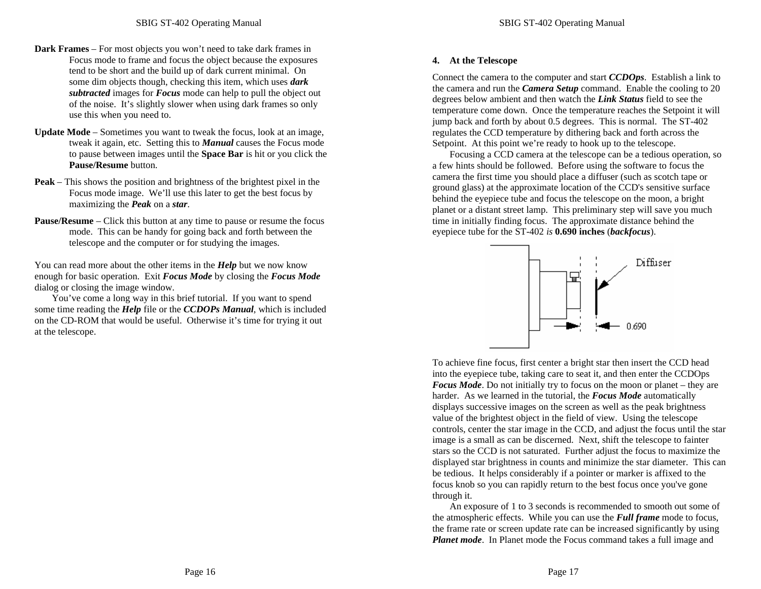- **Dark Frames** For most objects you won't need to take dark frames in Focus mode to frame and focus the object because the exposures tend to be short and the build up of dark current minimal. On some dim objects though, checking this item, which uses *dark subtracted* images for *Focus* mode can help to pull the object out of the noise. It's slightly slower when using dark frames so only use this when you need to.
- **Update Mode** Sometimes you want to tweak the focus, look at an image, tweak it again, etc. Setting this to *Manual* causes the Focus mode to pause between images until the **Space Bar** is hit or you click the **Pause/Resume** button.
- **Peak** This shows the position and brightness of the brightest pixel in the Focus mode image. We'll use this later to get the best focus by maximizing the *Peak* on a *star*.
- **Pause/Resume** Click this button at any time to pause or resume the focus mode. This can be handy for going back and forth between the telescope and the computer or for studying the images.

You can read more about the other items in the *Help* but we now know enough for basic operation. Exit *Focus Mode* by closing the *Focus Mode* dialog or closing the image window.

You've come a long way in this brief tutorial. If you want to spend some time reading the *Help* file or the *CCDOPs Manual*, which is included on the CD-ROM that would be useful. Otherwise it's time for trying it out at the telescope.

## **4. At the Telescope**

Connect the camera to the computer and start *CCDOps*. Establish a link to the camera and run the *Camera Setup* command. Enable the cooling to 20 degrees below ambient and then watch the *Link Status* field to see the temperature come down. Once the temperature reaches the Setpoint it will jump back and forth by about 0.5 degrees. This is normal. The ST-402 regulates the CCD temperature by dithering back and forth across the Setpoint. At this point we're ready to hook up to the telescope.

Focusing a CCD camera at the telescope can be a tedious operation, so a few hints should be followed. Before using the software to focus the camera the first time you should place a diffuser (such as scotch tape or ground glass) at the approximate location of the CCD's sensitive surface behind the eyepiece tube and focus the telescope on the moon, a bright planet or a distant street lamp. This preliminary step will save you much time in initially finding focus. The approximate distance behind the eyepiece tube for the ST-402 *is* **0.690 inches** (*backfocus*).



To achieve fine focus, first center a bright star then insert the CCD head into the eyepiece tube, taking care to seat it, and then enter the CCDOps *Focus Mode*. Do not initially try to focus on the moon or planet – they are harder. As we learned in the tutorial, the *Focus Mode* automatically displays successive images on the screen as well as the peak brightness value of the brightest object in the field of view. Using the telescope controls, center the star image in the CCD, and adjust the focus until the star image is a small as can be discerned. Next, shift the telescope to fainter stars so the CCD is not saturated. Further adjust the focus to maximize the displayed star brightness in counts and minimize the star diameter. This can be tedious. It helps considerably if a pointer or marker is affixed to the focus knob so you can rapidly return to the best focus once you've gone through it.

An exposure of 1 to 3 seconds is recommended to smooth out some of the atmospheric effects. While you can use the *Full frame* mode to focus, the frame rate or screen update rate can be increased significantly by using *Planet mode*. In Planet mode the Focus command takes a full image and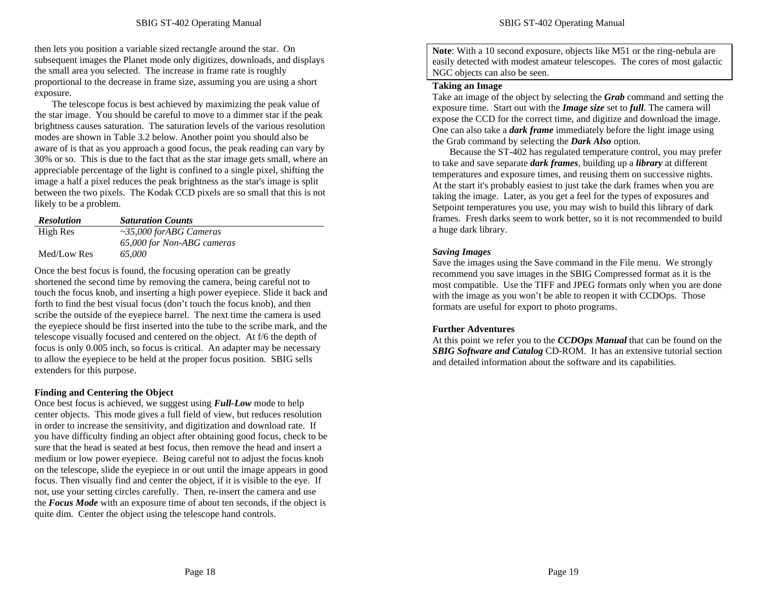then lets you position a variable sized rectangle around the star. On subsequent images the Planet mode only digitizes, downloads, and displays the small area you selected. The increase in frame rate is roughly proportional to the decrease in frame size, assuming you are using a short exposure.

The telescope focus is best achieved by maximizing the peak value of the star image. You should be careful to move to a dimmer star if the peak brightness causes saturation. The saturation levels of the various resolution modes are shown in Table 3.2 below. Another point you should also be aware of is that as you approach a good focus, the peak reading can vary by 30% or so. This is due to the fact that as the star image gets small, where an appreciable percentage of the light is confined to a single pixel, shifting the image a half a pixel reduces the peak brightness as the star's image is split between the two pixels. The Kodak CCD pixels are so small that this is not likely to be a problem.

| <b>Resolution</b> | <b>Saturation Counts</b>      |
|-------------------|-------------------------------|
| High Res          | $~\sim$ 35,000 forABG Cameras |
|                   | 65,000 for Non-ABG cameras    |
| Med/Low Res       | 65.000                        |

Once the best focus is found, the focusing operation can be greatly shortened the second time by removing the camera, being careful not to touch the focus knob, and inserting a high power eyepiece. Slide it back and forth to find the best visual focus (don't touch the focus knob), and then scribe the outside of the eyepiece barrel. The next time the camera is used the eyepiece should be first inserted into the tube to the scribe mark, and the telescope visually focused and centered on the object. At f/6 the depth of focus is only 0.005 inch, so focus is critical. An adapter may be necessary to allow the eyepiece to be held at the proper focus position. SBIG sells extenders for this purpose.

#### **Finding and Centering the Object**

Once best focus is achieved, we suggest using *Full-Low* mode to help center objects. This mode gives a full field of view, but reduces resolution in order to increase the sensitivity, and digitization and download rate. If you have difficulty finding an object after obtaining good focus, check to be sure that the head is seated at best focus, then remove the head and insert a medium or low power eyepiece. Being careful not to adjust the focus knob on the telescope, slide the eyepiece in or out until the image appears in good focus. Then visually find and center the object, if it is visible to the eye. If not, use your setting circles carefully. Then, re-insert the camera and use the *Focus Mode* with an exposure time of about ten seconds, if the object is quite dim. Center the object using the telescope hand controls.

**Note**: With a 10 second exposure, objects like M51 or the ring-nebula are easily detected with modest amateur telescopes. The cores of most galactic NGC objects can also be seen.

#### **Taking an Image**

Take an image of the object by selecting the *Grab* command and setting the exposure time. Start out with the *Image size* set to *full*. The camera will expose the CCD for the correct time, and digitize and download the image. One can also take a *dark frame* immediately before the light image using the Grab command by selecting the *Dark Also* option.

Because the ST-402 has regulated temperature control, you may prefer to take and save separate *dark frames*, building up a *library* at different temperatures and exposure times, and reusing them on successive nights. At the start it's probably easiest to just take the dark frames when you are taking the image. Later, as you get a feel for the types of exposures and Setpoint temperatures you use, you may wish to build this library of dark frames. Fresh darks seem to work better, so it is not recommended to build a huge dark library.

#### *Saving Images*

Save the images using the Save command in the File menu. We strongly recommend you save images in the SBIG Compressed format as it is the most compatible. Use the TIFF and JPEG formats only when you are done with the image as you won't be able to reopen it with CCDOps. Those formats are useful for export to photo programs.

#### **Further Adventures**

At this point we refer you to the *CCDOps Manual* that can be found on the *SBIG Software and Catalog* CD-ROM. It has an extensive tutorial section and detailed information about the software and its capabilities.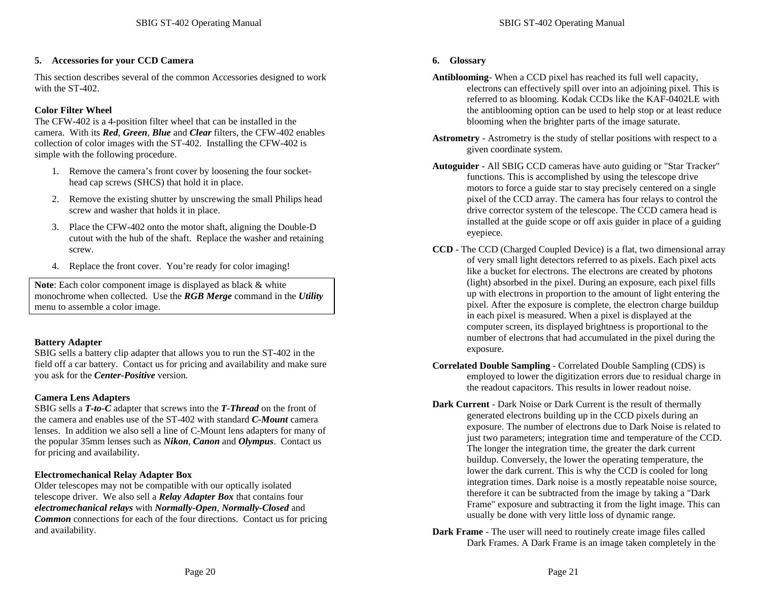#### **5. Accessories for your CCD Camera**

This section describes several of the common Accessories designed to work with the ST-402.

## **Color Filter Wheel**

The CFW-402 is a 4-position filter wheel that can be installed in the camera. With its *Red*, *Green*, *Blue* and *Clear* filters, the CFW-402 enables collection of color images with the ST-402. Installing the CFW-402 is simple with the following procedure.

- 1. Remove the camera's front cover by loosening the four sockethead cap screws (SHCS) that hold it in place.
- 2. Remove the existing shutter by unscrewing the small Philips head screw and washer that holds it in place.
- 3. Place the CFW-402 onto the motor shaft, aligning the Double-D cutout with the hub of the shaft. Replace the washer and retaining screw.
- 4. Replace the front cover. You're ready for color imaging!

**Note**: Each color component image is displayed as black & white monochrome when collected. Use the *RGB Merge* command in the *Utility* menu to assemble a color image.

#### **Battery Adapter**

SBIG sells a battery clip adapter that allows you to run the ST-402 in the field off a car battery. Contact us for pricing and availability and make sure you ask for the *Center-Positive* version.

## **Camera Lens Adapters**

SBIG sells a *T-to-C* adapter that screws into the *T-Thread* on the front of the camera and enables use of the ST-402 with standard *C-Mount* camera lenses. In addition we also sell a line of C-Mount lens adapters for many of the popular 35mm lenses such as *Nikon*, *Canon* and *Olympus*. Contact us for pricing and availability.

## **Electromechanical Relay Adapter Box**

Older telescopes may not be compatible with our optically isolated telescope driver. We also sell a *Relay Adapter Box* that contains four *electromechanical relays* with *Normally-Open*, *Normally-Closed* and *Common* connections for each of the four directions. Contact us for pricing and availability.

#### **6. Glossary**

- **Antiblooming** When a CCD pixel has reached its full well capacity, electrons can effectively spill over into an adjoining pixel. This is referred to as blooming. Kodak CCDs like the KAF-0402LE with the antiblooming option can be used to help stop or at least reduce blooming when the brighter parts of the image saturate.
- **Astrometry** Astrometry is the study of stellar positions with respect to a given coordinate system.
- **Autoguider** All SBIG CCD cameras have auto guiding or "Star Tracker" functions. This is accomplished by using the telescope drive motors to force a guide star to stay precisely centered on a single pixel of the CCD array. The camera has four relays to control the drive corrector system of the telescope. The CCD camera head is installed at the guide scope or off axis guider in place of a guiding eyepiece.
- **CCD** The CCD (Charged Coupled Device) is a flat, two dimensional array of very small light detectors referred to as pixels. Each pixel acts like a bucket for electrons. The electrons are created by photons (light) absorbed in the pixel. During an exposure, each pixel fills up with electrons in proportion to the amount of light entering the pixel. After the exposure is complete, the electron charge buildup in each pixel is measured. When a pixel is displayed at the computer screen, its displayed brightness is proportional to the number of electrons that had accumulated in the pixel during the exposure.
- **Correlated Double Sampling** Correlated Double Sampling (CDS) is employed to lower the digitization errors due to residual charge in the readout capacitors. This results in lower readout noise.
- **Dark Current** Dark Noise or Dark Current is the result of thermally generated electrons building up in the CCD pixels during an exposure. The number of electrons due to Dark Noise is related to just two parameters; integration time and temperature of the CCD. The longer the integration time, the greater the dark current buildup. Conversely, the lower the operating temperature, the lower the dark current. This is why the CCD is cooled for long integration times. Dark noise is a mostly repeatable noise source, therefore it can be subtracted from the image by taking a "Dark Frame" exposure and subtracting it from the light image. This can usually be done with very little loss of dynamic range.
- **Dark Frame** The user will need to routinely create image files called Dark Frames. A Dark Frame is an image taken completely in the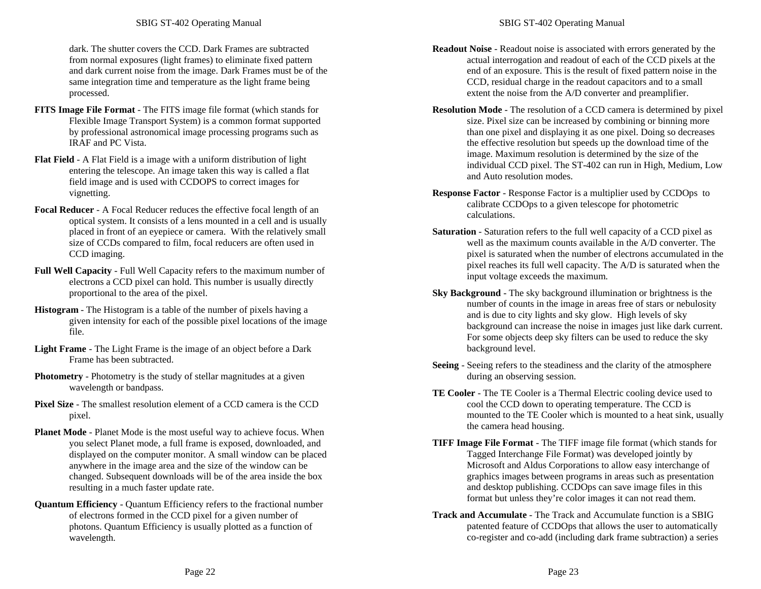dark. The shutter covers the CCD. Dark Frames are subtracted from normal exposures (light frames) to eliminate fixed pattern and dark current noise from the image. Dark Frames must be of the same integration time and temperature as the light frame being processed.

- **FITS Image File Format** The FITS image file format (which stands for Flexible Image Transport System) is a common format supported by professional astronomical image processing programs such as IRAF and PC Vista.
- **Flat Field** A Flat Field is a image with a uniform distribution of light entering the telescope. An image taken this way is called a flat field image and is used with CCDOPS to correct images for vignetting.
- **Focal Reducer** A Focal Reducer reduces the effective focal length of an optical system. It consists of a lens mounted in a cell and is usually placed in front of an eyepiece or camera. With the relatively small size of CCDs compared to film, focal reducers are often used in CCD imaging.
- **Full Well Capacity** Full Well Capacity refers to the maximum number of electrons a CCD pixel can hold. This number is usually directly proportional to the area of the pixel.
- **Histogram** The Histogram is a table of the number of pixels having a given intensity for each of the possible pixel locations of the image file.
- **Light Frame** The Light Frame is the image of an object before a Dark Frame has been subtracted.
- **Photometry** Photometry is the study of stellar magnitudes at a given wavelength or bandpass.
- **Pixel Size** The smallest resolution element of a CCD camera is the CCD pixel.
- **Planet Mode** Planet Mode is the most useful way to achieve focus. When you select Planet mode, a full frame is exposed, downloaded, and displayed on the computer monitor. A small window can be placed anywhere in the image area and the size of the window can be changed. Subsequent downloads will be of the area inside the box resulting in a much faster update rate.
- **Quantum Efficiency** Quantum Efficiency refers to the fractional number of electrons formed in the CCD pixel for a given number of photons. Quantum Efficiency is usually plotted as a function of wavelength.
- **Readout Noise** Readout noise is associated with errors generated by the actual interrogation and readout of each of the CCD pixels at the end of an exposure. This is the result of fixed pattern noise in the CCD, residual charge in the readout capacitors and to a small extent the noise from the A/D converter and preamplifier.
- **Resolution Mode** The resolution of a CCD camera is determined by pixel size. Pixel size can be increased by combining or binning more than one pixel and displaying it as one pixel. Doing so decreases the effective resolution but speeds up the download time of the image. Maximum resolution is determined by the size of the individual CCD pixel. The ST-402 can run in High, Medium, Low and Auto resolution modes.
- **Response Factor** Response Factor is a multiplier used by CCDOps to calibrate CCDOps to a given telescope for photometric calculations.
- **Saturation** Saturation refers to the full well capacity of a CCD pixel as well as the maximum counts available in the A/D converter. The pixel is saturated when the number of electrons accumulated in the pixel reaches its full well capacity. The A/D is saturated when the input voltage exceeds the maximum.
- **Sky Background** The sky background illumination or brightness is the number of counts in the image in areas free of stars or nebulosity and is due to city lights and sky glow. High levels of sky background can increase the noise in images just like dark current. For some objects deep sky filters can be used to reduce the sky background level.
- **Seeing** Seeing refers to the steadiness and the clarity of the atmosphere during an observing session.
- **TE Cooler**  The TE Cooler is a Thermal Electric cooling device used to cool the CCD down to operating temperature. The CCD is mounted to the TE Cooler which is mounted to a heat sink, usually the camera head housing.
- **TIFF Image File Format** The TIFF image file format (which stands for Tagged Interchange File Format) was developed jointly by Microsoft and Aldus Corporations to allow easy interchange of graphics images between programs in areas such as presentation and desktop publishing. CCDOps can save image files in this format but unless they're color images it can not read them.
- **Track and Accumulate** The Track and Accumulate function is a SBIG patented feature of CCDOps that allows the user to automatically co-register and co-add (including dark frame subtraction) a series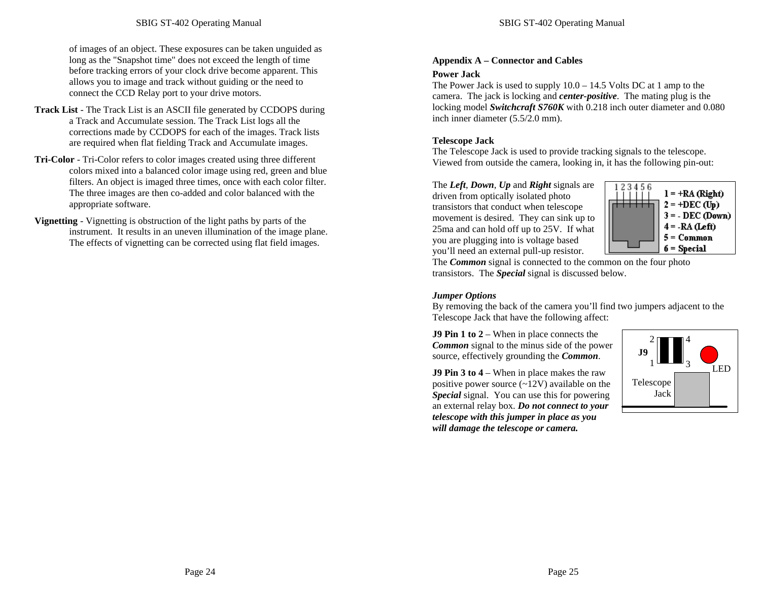of images of an object. These exposures can be taken unguided as long as the "Snapshot time" does not exceed the length of time before tracking errors of your clock drive become apparent. This allows you to image and track without guiding or the need to connect the CCD Relay port to your drive motors.

- **Track List** The Track List is an ASCII file generated by CCDOPS during a Track and Accumulate session. The Track List logs all the corrections made by CCDOPS for each of the images. Track lists are required when flat fielding Track and Accumulate images.
- **Tri-Color** Tri-Color refers to color images created using three different colors mixed into a balanced color image using red, green and blue filters. An object is imaged three times, once with each color filter. The three images are then co-added and color balanced with the appropriate software.

**Vignetting** - Vignetting is obstruction of the light paths by parts of the instrument. It results in an uneven illumination of the image plane. The effects of vignetting can be corrected using flat field images.

## **Appendix A – Connector and Cables**

## **Power Jack**

The Power Jack is used to supply 10.0 – 14.5 Volts DC at 1 amp to the camera. The jack is locking and *center-positive*. The mating plug is the locking model *Switchcraft S760K* with 0.218 inch outer diameter and 0.080 inch inner diameter (5.5/2.0 mm).

## **Telescope Jack**

The Telescope Jack is used to provide tracking signals to the telescope. Viewed from outside the camera, looking in, it has the following pin-out:

The *Left*, *Down*, *Up* and *Right* signals are driven from optically isolated photo transistors that conduct when telescope movement is desired. They can sink up to 25ma and can hold off up to 25V. If what you are plugging into is voltage based you'll need an external pull-up resistor.



The *Common* signal is connected to the common on the four photo transistors. The *Special* signal is discussed below.

## *Jumper Options*

By removing the back of the camera you'll find two jumpers adjacent to the Telescope Jack that have the following affect:

**J9 Pin 1 to 2** – When in place connects the *Common* signal to the minus side of the power source, effectively grounding the *Common*.

**J9 Pin 3 to 4** – When in place makes the raw positive power source  $(-12V)$  available on the *Special* signal. You can use this for powering an external relay box. *Do not connect to your telescope with this jumper in place as you will damage the telescope or camera.*

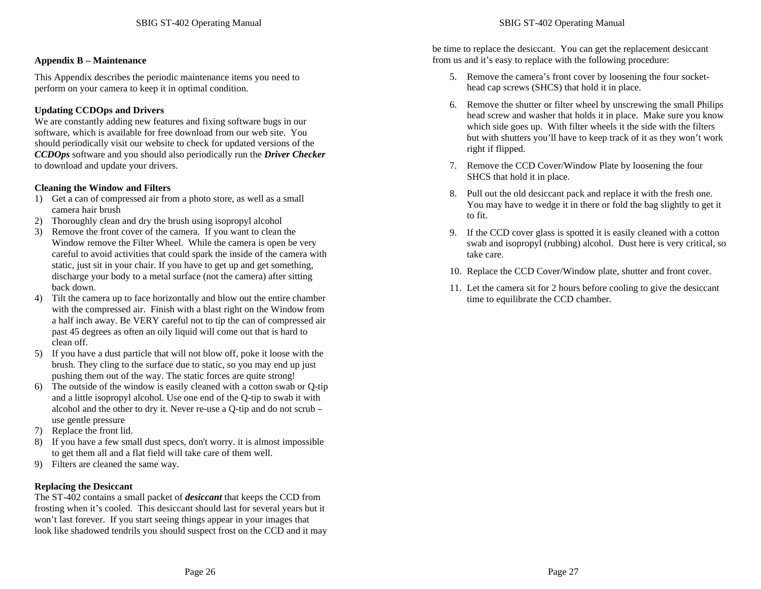#### **Appendix B – Maintenance**

This Appendix describes the periodic maintenance items you need to perform on your camera to keep it in optimal condition.

### **Updating CCDOps and Drivers**

We are constantly adding new features and fixing software bugs in our software, which is available for free download from our web site. You should periodically visit our website to check for updated versions of the *CCDOps* software and you should also periodically run the *Driver Checker* to download and update your drivers.

#### **Cleaning the Window and Filters**

- 1) Get a can of compressed air from a photo store, as well as a small camera hair brush
- 2) Thoroughly clean and dry the brush using isopropyl alcohol
- 3) Remove the front cover of the camera. If you want to clean the Window remove the Filter Wheel. While the camera is open be very careful to avoid activities that could spark the inside of the camera with static, just sit in your chair. If you have to get up and get something, discharge your body to a metal surface (not the camera) after sitting back down.
- 4) Tilt the camera up to face horizontally and blow out the entire chamber with the compressed air. Finish with a blast right on the Window from a half inch away. Be VERY careful not to tip the can of compressed air past 45 degrees as often an oily liquid will come out that is hard to clean off.
- 5) If you have a dust particle that will not blow off, poke it loose with the brush. They cling to the surface due to static, so you may end up just pushing them out of the way. The static forces are quite strong!
- 6) The outside of the window is easily cleaned with a cotton swab or Q-tip and a little isopropyl alcohol. Use one end of the Q-tip to swab it with alcohol and the other to dry it. Never re-use a Q-tip and do not scrub – use gentle pressure
- 7) Replace the front lid.
- 8) If you have a few small dust specs, don't worry. it is almost impossible to get them all and a flat field will take care of them well.
- 9) Filters are cleaned the same way.

#### **Replacing the Desiccant**

The ST-402 contains a small packet of *desiccant* that keeps the CCD from frosting when it's cooled. This desiccant should last for several years but it won't last forever. If you start seeing things appear in your images that look like shadowed tendrils you should suspect frost on the CCD and it may be time to replace the desiccant. You can get the replacement desiccant from us and it's easy to replace with the following procedure:

- 5. Remove the camera's front cover by loosening the four sockethead cap screws (SHCS) that hold it in place.
- 6. Remove the shutter or filter wheel by unscrewing the small Philips head screw and washer that holds it in place. Make sure you know which side goes up. With filter wheels it the side with the filters but with shutters you'll have to keep track of it as they won't work right if flipped.
- 7. Remove the CCD Cover/Window Plate by loosening the four SHCS that hold it in place.
- 8. Pull out the old desiccant pack and replace it with the fresh one. You may have to wedge it in there or fold the bag slightly to get it to fit.
- 9. If the CCD cover glass is spotted it is easily cleaned with a cotton swab and isopropyl (rubbing) alcohol. Dust here is very critical, so take care.
- 10. Replace the CCD Cover/Window plate, shutter and front cover.
- 11. Let the camera sit for 2 hours before cooling to give the desiccant time to equilibrate the CCD chamber.